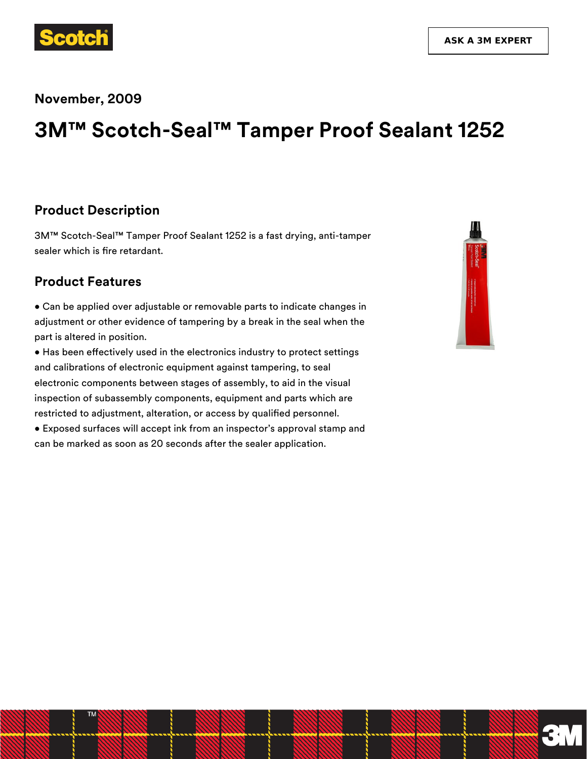

#### **November, 2009**

# **3M™ Scotch-Seal™ Tamper Proof Sealant 1252**

#### **Product Description**

3M™ Scotch-Seal™ Tamper Proof Sealant 1252 is a fast drying, anti-tamper sealer which is fire retardant.

#### **Product Features**

• Can be applied over adjustable or removable parts to indicate changes in adjustment or other evidence of tampering by a break in the seal when the part is altered in position.

• Has been effectively used in the electronics industry to protect settings and calibrations of electronic equipment against tampering, to seal electronic components between stages of assembly, to aid in the visual inspection of subassembly components, equipment and parts which are restricted to adjustment, alteration, or access by qualified personnel.

• Exposed surfaces will accept ink from an inspector's approval stamp and can be marked as soon as 20 seconds after the sealer application.



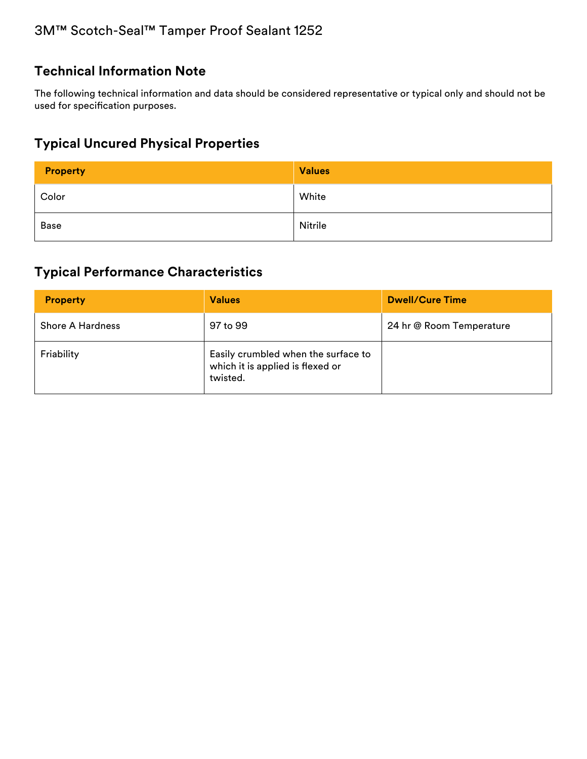# **Technical Information Note**

The following technical information and data should be considered representative or typical only and should not be used for specification purposes.

# **Typical Uncured Physical Properties**

| Property | <b>Values</b> |
|----------|---------------|
| Color    | White         |
| Base     | Nitrile       |

# **Typical Performance Characteristics**

| <b>Property</b>         | <b>Values</b>                                                                       | <b>Dwell/Cure Time</b>   |
|-------------------------|-------------------------------------------------------------------------------------|--------------------------|
| <b>Shore A Hardness</b> | 97 to 99                                                                            | 24 hr @ Room Temperature |
| Friability              | Easily crumbled when the surface to<br>which it is applied is flexed or<br>twisted. |                          |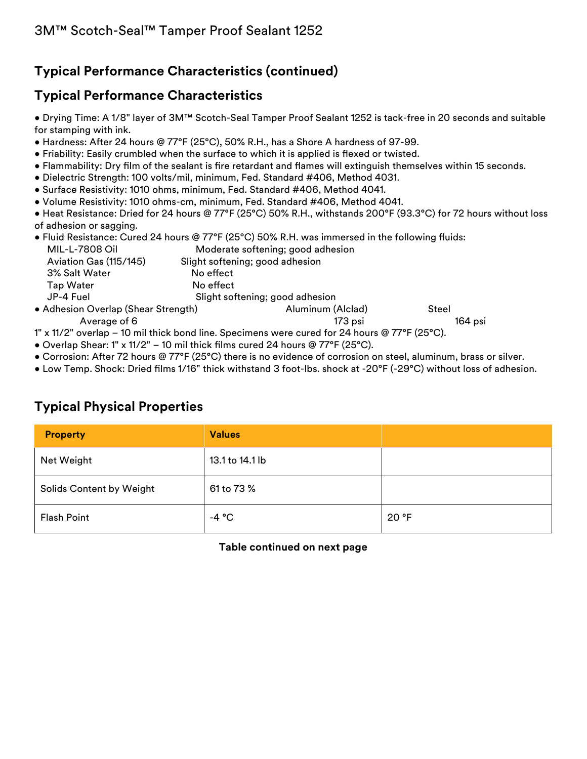# **Typical Performance Characteristics (continued)**

# **Typical Performance Characteristics**

• Drying Time: A 1/8" layer of 3M™ Scotch-Seal Tamper Proof Sealant 1252 is tack-free in 20 seconds and suitable for stamping with ink.

- Hardness: After 24 hours @ 77°F (25°C), 50% R.H., has a Shore A hardness of 97-99.
- Friability: Easily crumbled when the surface to which it is applied is flexed or twisted.
- Flammability: Dry film of the sealant is fire retardant and flames will extinguish themselves within 15 seconds.
- Dielectric Strength: 100 volts/mil, minimum, Fed. Standard #406, Method 4031.
- Surface Resistivity: 1010 ohms, minimum, Fed. Standard #406, Method 4041.
- Volume Resistivity: 1010 ohms-cm, minimum, Fed. Standard #406, Method 4041.

• Heat Resistance: Dried for 24 hours @ 77°F (25°C) 50% R.H., withstands 200°F (93.3°C) for 72 hours without loss of adhesion or sagging.

• Fluid Resistance: Cured 24 hours @ 77°F (25°C) 50% R.H. was immersed in the following fluids:

| MIL-L-7808 Oil                      |                                 | Moderate softening; good adhesion |       |
|-------------------------------------|---------------------------------|-----------------------------------|-------|
| Aviation Gas (115/145)              | Slight softening; good adhesion |                                   |       |
| 3% Salt Water                       | No effect                       |                                   |       |
| <b>Tap Water</b>                    | No effect                       |                                   |       |
| JP-4 Fuel                           | Slight softening; good adhesion |                                   |       |
| • Adhesion Overlap (Shear Strength) |                                 | Aluminum (Alclad)                 | Steel |

Average of 6 173 psi 164 psi 164 psi 164 psi 2008. Average of 6

1" x 11/2" overlap – 10 mil thick bond line. Specimens were cured for 24 hours @ 77°F (25°C).

- Overlap Shear: 1" x 11/2" 10 mil thick films cured 24 hours @ 77°F (25°C).
- Corrosion: After 72 hours @ 77°F (25°C) there is no evidence of corrosion on steel, aluminum, brass or silver.
- Low Temp. Shock: Dried films 1/16" thick withstand 3 foot-lbs. shock at -20°F (-29°C) without loss of adhesion.

### **Typical Physical Properties**

| <b>Property</b>                 | <b>Values</b>   |       |
|---------------------------------|-----------------|-------|
| Net Weight                      | 13.1 to 14.1 lb |       |
| <b>Solids Content by Weight</b> | 61 to 73 %      |       |
| <b>Flash Point</b>              | -4 $^{\circ}$ C | 20 °F |

**Table continued on next page**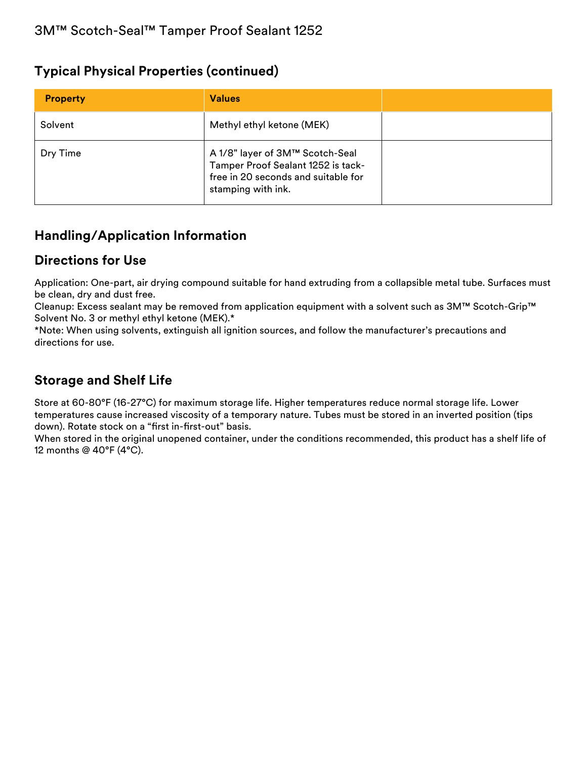#### **Typical Physical Properties (continued)**

| <b>Property</b> | <b>Values</b>                                                                                                                      |  |
|-----------------|------------------------------------------------------------------------------------------------------------------------------------|--|
| Solvent         | Methyl ethyl ketone (MEK)                                                                                                          |  |
| Dry Time        | A 1/8" layer of 3M™ Scotch-Seal<br>Tamper Proof Sealant 1252 is tack-<br>free in 20 seconds and suitable for<br>stamping with ink. |  |

# **Handling/Application Information**

# **Directions for Use**

Application: One-part, air drying compound suitable for hand extruding from a collapsible metal tube. Surfaces must be clean, dry and dust free.

Cleanup: Excess sealant may be removed from application equipment with a solvent such as 3M™ Scotch-Grip™ Solvent No. 3 or methyl ethyl ketone (MEK).\*

\*Note: When using solvents, extinguish all ignition sources, and follow the manufacturer's precautions and directions for use.

## **Storage and Shelf Life**

Store at 60-80°F (16-27°C) for maximum storage life. Higher temperatures reduce normal storage life. Lower temperatures cause increased viscosity of a temporary nature. Tubes must be stored in an inverted position (tips down). Rotate stock on a "first in-first-out" basis.

When stored in the original unopened container, under the conditions recommended, this product has a shelf life of 12 months @ 40°F (4°C).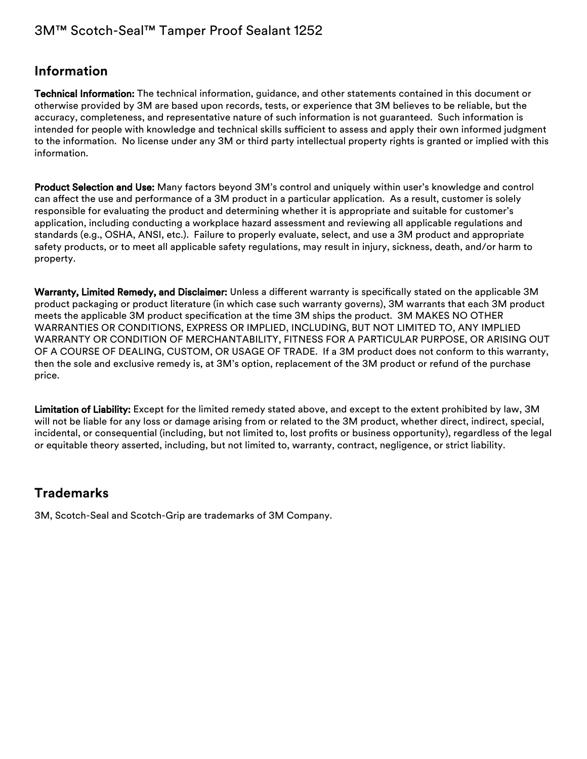# 3M™ Scotch-Seal™ Tamper Proof Sealant 1252

#### **Information**

Technical Information: The technical information, guidance, and other statements contained in this document or otherwise provided by 3M are based upon records, tests, or experience that 3M believes to be reliable, but the accuracy, completeness, and representative nature of such information is not guaranteed. Such information is intended for people with knowledge and technical skills sufficient to assess and apply their own informed judgment to the information. No license under any 3M or third party intellectual property rights is granted or implied with this information.

Product Selection and Use: Many factors beyond 3M's control and uniquely within user's knowledge and control can affect the use and performance of a 3M product in a particular application. As a result, customer is solely responsible for evaluating the product and determining whether it is appropriate and suitable for customer's application, including conducting a workplace hazard assessment and reviewing all applicable regulations and standards (e.g., OSHA, ANSI, etc.). Failure to properly evaluate, select, and use a 3M product and appropriate safety products, or to meet all applicable safety regulations, may result in injury, sickness, death, and/or harm to property.

Warranty, Limited Remedy, and Disclaimer: Unless a different warranty is specifically stated on the applicable 3M product packaging or product literature (in which case such warranty governs), 3M warrants that each 3M product meets the applicable 3M product specification at the time 3M ships the product. 3M MAKES NO OTHER WARRANTIES OR CONDITIONS, EXPRESS OR IMPLIED, INCLUDING, BUT NOT LIMITED TO, ANY IMPLIED WARRANTY OR CONDITION OF MERCHANTABILITY, FITNESS FOR A PARTICULAR PURPOSE, OR ARISING OUT OF A COURSE OF DEALING, CUSTOM, OR USAGE OF TRADE. If a 3M product does not conform to this warranty, then the sole and exclusive remedy is, at 3M's option, replacement of the 3M product or refund of the purchase price.

Limitation of Liability: Except for the limited remedy stated above, and except to the extent prohibited by law, 3M will not be liable for any loss or damage arising from or related to the 3M product, whether direct, indirect, special, incidental, or consequential (including, but not limited to, lost profits or business opportunity), regardless of the legal or equitable theory asserted, including, but not limited to, warranty, contract, negligence, or strict liability.

#### **Trademarks**

3M, Scotch-Seal and Scotch-Grip are trademarks of 3M Company.